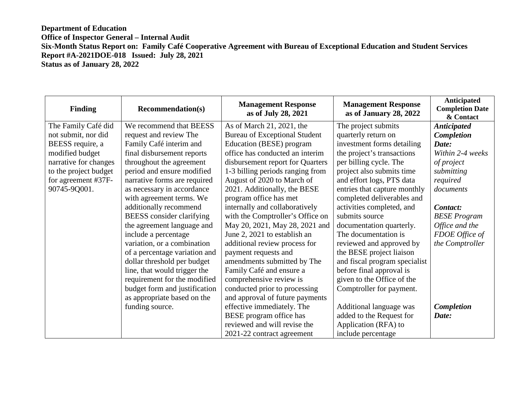| <b>Finding</b>        | <b>Recommendation(s)</b>      | <b>Management Response</b><br>as of July 28, 2021 | <b>Management Response</b><br>as of January 28, 2022 | Anticipated<br><b>Completion Date</b><br>& Contact |
|-----------------------|-------------------------------|---------------------------------------------------|------------------------------------------------------|----------------------------------------------------|
| The Family Café did   | We recommend that BEESS       | As of March 21, 2021, the                         | The project submits                                  | <b>Anticipated</b>                                 |
| not submit, nor did   | request and review The        | <b>Bureau of Exceptional Student</b>              | quarterly return on                                  | <b>Completion</b>                                  |
| BEESS require, a      | Family Café interim and       | Education (BESE) program                          | investment forms detailing                           | Date:                                              |
| modified budget       | final disbursement reports    | office has conducted an interim                   | the project's transactions                           | Within 2-4 weeks                                   |
| narrative for changes | throughout the agreement      | disbursement report for Quarters                  | per billing cycle. The                               | of project                                         |
| to the project budget | period and ensure modified    | 1-3 billing periods ranging from                  | project also submits time                            | submitting                                         |
| for agreement #37F-   | narrative forms are required  | August of 2020 to March of                        | and effort logs, PTS data                            | required                                           |
| 90745-9Q001.          | as necessary in accordance    | 2021. Additionally, the BESE                      | entries that capture monthly                         | documents                                          |
|                       | with agreement terms. We      | program office has met                            | completed deliverables and                           |                                                    |
|                       | additionally recommend        | internally and collaboratively                    | activities completed, and                            | Contact:                                           |
|                       | BEESS consider clarifying     | with the Comptroller's Office on                  | submits source                                       | <b>BESE</b> Program                                |
|                       | the agreement language and    | May 20, 2021, May 28, 2021 and                    | documentation quarterly.                             | Office and the                                     |
|                       | include a percentage          | June 2, 2021 to establish an                      | The documentation is                                 | FDOE Office of                                     |
|                       | variation, or a combination   | additional review process for                     | reviewed and approved by                             | the Comptroller                                    |
|                       | of a percentage variation and | payment requests and                              | the BESE project liaison                             |                                                    |
|                       | dollar threshold per budget   | amendments submitted by The                       | and fiscal program specialist                        |                                                    |
|                       | line, that would trigger the  | Family Café and ensure a                          | before final approval is                             |                                                    |
|                       | requirement for the modified  | comprehensive review is                           | given to the Office of the                           |                                                    |
|                       | budget form and justification | conducted prior to processing                     | Comptroller for payment.                             |                                                    |
|                       | as appropriate based on the   | and approval of future payments                   |                                                      |                                                    |
|                       | funding source.               | effective immediately. The                        | Additional language was                              | <b>Completion</b>                                  |
|                       |                               | BESE program office has                           | added to the Request for                             | Date:                                              |
|                       |                               | reviewed and will revise the                      | Application (RFA) to                                 |                                                    |
|                       |                               | 2021-22 contract agreement                        | include percentage                                   |                                                    |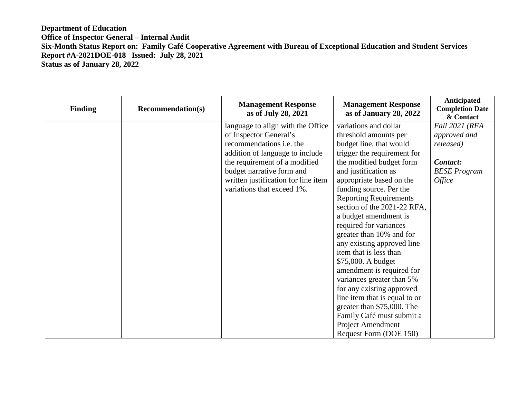| <b>Finding</b> | <b>Recommendation(s)</b> | <b>Management Response</b><br>as of July 28, 2021 | <b>Management Response</b><br>as of January 28, 2022 | <b>Anticipated</b><br><b>Completion Date</b><br>& Contact |
|----------------|--------------------------|---------------------------------------------------|------------------------------------------------------|-----------------------------------------------------------|
|                |                          | language to align with the Office                 | variations and dollar                                | Fall 2021 (RFA                                            |
|                |                          | of Inspector General's                            | threshold amounts per                                | approved and                                              |
|                |                          | recommendations <i>i.e.</i> the                   | budget line, that would                              | released)                                                 |
|                |                          | addition of language to include                   | trigger the requirement for                          |                                                           |
|                |                          | the requirement of a modified                     | the modified budget form                             | Contact:                                                  |
|                |                          | budget narrative form and                         | and justification as                                 | <b>BESE Program</b>                                       |
|                |                          | written justification for line item               | appropriate based on the                             | <i><b>Office</b></i>                                      |
|                |                          | variations that exceed 1%.                        | funding source. Per the                              |                                                           |
|                |                          |                                                   | <b>Reporting Requirements</b>                        |                                                           |
|                |                          |                                                   | section of the 2021-22 RFA,                          |                                                           |
|                |                          |                                                   | a budget amendment is                                |                                                           |
|                |                          |                                                   | required for variances                               |                                                           |
|                |                          |                                                   | greater than 10% and for                             |                                                           |
|                |                          |                                                   | any existing approved line                           |                                                           |
|                |                          |                                                   | item that is less than                               |                                                           |
|                |                          |                                                   | \$75,000. A budget                                   |                                                           |
|                |                          |                                                   | amendment is required for                            |                                                           |
|                |                          |                                                   | variances greater than 5%                            |                                                           |
|                |                          |                                                   | for any existing approved                            |                                                           |
|                |                          |                                                   | line item that is equal to or                        |                                                           |
|                |                          |                                                   | greater than \$75,000. The                           |                                                           |
|                |                          |                                                   | Family Café must submit a                            |                                                           |
|                |                          |                                                   | <b>Project Amendment</b>                             |                                                           |
|                |                          |                                                   | Request Form (DOE 150)                               |                                                           |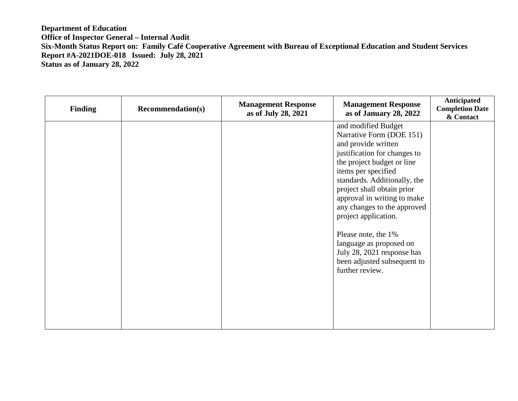| <b>Finding</b> | <b>Recommendation(s)</b> | <b>Management Response</b><br>as of July 28, 2021 | <b>Management Response</b><br>as of January 28, 2022                                                                                                                                                                                                                                                            | Anticipated<br><b>Completion Date</b><br>& Contact |
|----------------|--------------------------|---------------------------------------------------|-----------------------------------------------------------------------------------------------------------------------------------------------------------------------------------------------------------------------------------------------------------------------------------------------------------------|----------------------------------------------------|
|                |                          |                                                   | and modified Budget<br>Narrative Form (DOE 151)<br>and provide written<br>justification for changes to<br>the project budget or line<br>items per specified<br>standards. Additionally, the<br>project shall obtain prior<br>approval in writing to make<br>any changes to the approved<br>project application. |                                                    |
|                |                          |                                                   | Please note, the 1%<br>language as proposed on<br>July 28, 2021 response has<br>been adjusted subsequent to<br>further review.                                                                                                                                                                                  |                                                    |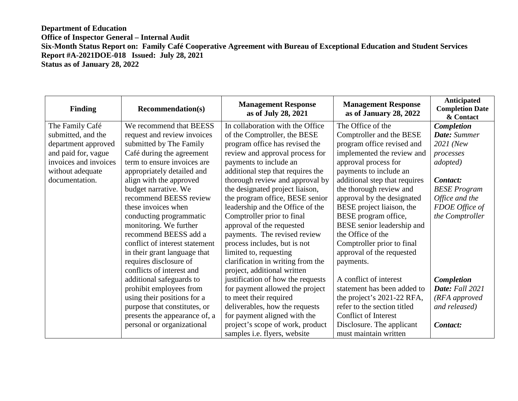| <b>Finding</b>        | <b>Recommendation(s)</b>       | <b>Management Response</b><br>as of July 28, 2021 | <b>Management Response</b><br>as of January 28, 2022 | Anticipated<br><b>Completion Date</b><br>& Contact |
|-----------------------|--------------------------------|---------------------------------------------------|------------------------------------------------------|----------------------------------------------------|
| The Family Café       | We recommend that BEESS        | In collaboration with the Office                  | The Office of the                                    | Completion                                         |
| submitted, and the    | request and review invoices    | of the Comptroller, the BESE                      | Comptroller and the BESE                             | Date: Summer                                       |
| department approved   | submitted by The Family        | program office has revised the                    | program office revised and                           | 2021 (New                                          |
| and paid for, vague   | Café during the agreement      | review and approval process for                   | implemented the review and                           | processes                                          |
| invoices and invoices | term to ensure invoices are    | payments to include an                            | approval process for                                 | <i>adopted</i> )                                   |
| without adequate      | appropriately detailed and     | additional step that requires the                 | payments to include an                               |                                                    |
| documentation.        | align with the approved        | thorough review and approval by                   | additional step that requires                        | Contact:                                           |
|                       | budget narrative. We           | the designated project liaison,                   | the thorough review and                              | <b>BESE Program</b>                                |
|                       | recommend BEESS review         | the program office, BESE senior                   | approval by the designated                           | Office and the                                     |
|                       | these invoices when            | leadership and the Office of the                  | BESE project liaison, the                            | FDOE Office of                                     |
|                       | conducting programmatic        | Comptroller prior to final                        | BESE program office,                                 | the Comptroller                                    |
|                       | monitoring. We further         | approval of the requested                         | BESE senior leadership and                           |                                                    |
|                       | recommend BEESS add a          | payments. The revised review                      | the Office of the                                    |                                                    |
|                       | conflict of interest statement | process includes, but is not                      | Comptroller prior to final                           |                                                    |
|                       | in their grant language that   | limited to, requesting                            | approval of the requested                            |                                                    |
|                       | requires disclosure of         | clarification in writing from the                 | payments.                                            |                                                    |
|                       | conflicts of interest and      | project, additional written                       |                                                      |                                                    |
|                       | additional safeguards to       | justification of how the requests                 | A conflict of interest                               | <b>Completion</b>                                  |
|                       | prohibit employees from        | for payment allowed the project                   | statement has been added to                          | Date: Fall 2021                                    |
|                       | using their positions for a    | to meet their required                            | the project's 2021-22 RFA,                           | (RFA approved                                      |
|                       | purpose that constitutes, or   | deliverables, how the requests                    | refer to the section titled                          | and released)                                      |
|                       | presents the appearance of, a  | for payment aligned with the                      | Conflict of Interest                                 |                                                    |
|                       | personal or organizational     | project's scope of work, product                  | Disclosure. The applicant                            | Contact:                                           |
|                       |                                | samples <i>i.e.</i> flyers, website               | must maintain written                                |                                                    |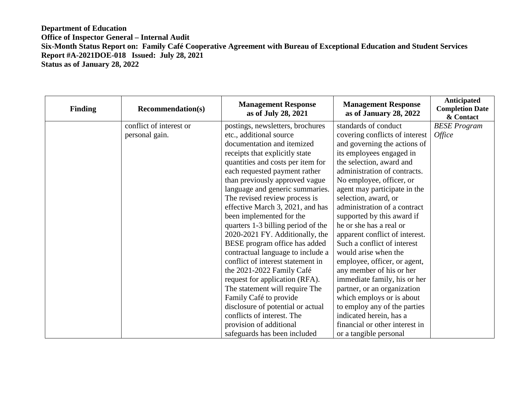| <b>Finding</b> | <b>Recommendation(s)</b> | <b>Management Response</b><br>as of July 28, 2021 | <b>Management Response</b><br>as of January 28, 2022 | Anticipated<br><b>Completion Date</b><br>& Contact |
|----------------|--------------------------|---------------------------------------------------|------------------------------------------------------|----------------------------------------------------|
|                | conflict of interest or  | postings, newsletters, brochures                  | standards of conduct                                 | <b>BESE Program</b>                                |
|                | personal gain.           | etc., additional source                           | covering conflicts of interest                       | <i><b>Office</b></i>                               |
|                |                          | documentation and itemized                        | and governing the actions of                         |                                                    |
|                |                          | receipts that explicitly state                    | its employees engaged in                             |                                                    |
|                |                          | quantities and costs per item for                 | the selection, award and                             |                                                    |
|                |                          | each requested payment rather                     | administration of contracts.                         |                                                    |
|                |                          | than previously approved vague                    | No employee, officer, or                             |                                                    |
|                |                          | language and generic summaries.                   | agent may participate in the                         |                                                    |
|                |                          | The revised review process is                     | selection, award, or                                 |                                                    |
|                |                          | effective March 3, 2021, and has                  | administration of a contract                         |                                                    |
|                |                          | been implemented for the                          | supported by this award if                           |                                                    |
|                |                          | quarters 1-3 billing period of the                | he or she has a real or                              |                                                    |
|                |                          | 2020-2021 FY. Additionally, the                   | apparent conflict of interest.                       |                                                    |
|                |                          | BESE program office has added                     | Such a conflict of interest                          |                                                    |
|                |                          | contractual language to include a                 | would arise when the                                 |                                                    |
|                |                          | conflict of interest statement in                 | employee, officer, or agent,                         |                                                    |
|                |                          | the 2021-2022 Family Café                         | any member of his or her                             |                                                    |
|                |                          | request for application (RFA).                    | immediate family, his or her                         |                                                    |
|                |                          | The statement will require The                    | partner, or an organization                          |                                                    |
|                |                          | Family Café to provide                            | which employs or is about                            |                                                    |
|                |                          | disclosure of potential or actual                 | to employ any of the parties                         |                                                    |
|                |                          | conflicts of interest. The                        | indicated herein, has a                              |                                                    |
|                |                          | provision of additional                           | financial or other interest in                       |                                                    |
|                |                          | safeguards has been included                      | or a tangible personal                               |                                                    |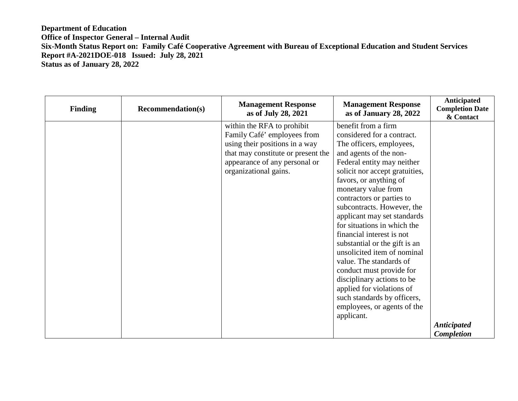| <b>Finding</b> | <b>Recommendation(s)</b> | <b>Management Response</b><br>as of July 28, 2021 | <b>Management Response</b><br>as of January 28, 2022 | Anticipated<br><b>Completion Date</b><br>& Contact |
|----------------|--------------------------|---------------------------------------------------|------------------------------------------------------|----------------------------------------------------|
|                |                          | within the RFA to prohibit                        | benefit from a firm                                  |                                                    |
|                |                          | Family Café' employees from                       | considered for a contract.                           |                                                    |
|                |                          | using their positions in a way                    | The officers, employees,                             |                                                    |
|                |                          | that may constitute or present the                | and agents of the non-                               |                                                    |
|                |                          | appearance of any personal or                     | Federal entity may neither                           |                                                    |
|                |                          | organizational gains.                             | solicit nor accept gratuities,                       |                                                    |
|                |                          |                                                   | favors, or anything of                               |                                                    |
|                |                          |                                                   | monetary value from                                  |                                                    |
|                |                          |                                                   | contractors or parties to                            |                                                    |
|                |                          |                                                   | subcontracts. However, the                           |                                                    |
|                |                          |                                                   | applicant may set standards                          |                                                    |
|                |                          |                                                   | for situations in which the                          |                                                    |
|                |                          |                                                   | financial interest is not                            |                                                    |
|                |                          |                                                   | substantial or the gift is an                        |                                                    |
|                |                          |                                                   | unsolicited item of nominal                          |                                                    |
|                |                          |                                                   | value. The standards of                              |                                                    |
|                |                          |                                                   | conduct must provide for                             |                                                    |
|                |                          |                                                   | disciplinary actions to be                           |                                                    |
|                |                          |                                                   | applied for violations of                            |                                                    |
|                |                          |                                                   | such standards by officers,                          |                                                    |
|                |                          |                                                   | employees, or agents of the                          |                                                    |
|                |                          |                                                   | applicant.                                           |                                                    |
|                |                          |                                                   |                                                      | <b>Anticipated</b>                                 |
|                |                          |                                                   |                                                      | <b>Completion</b>                                  |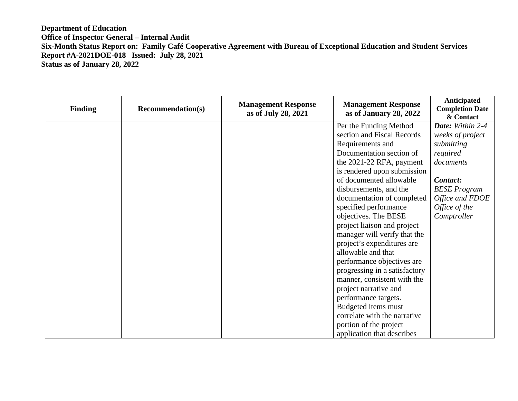| <b>Finding</b> | <b>Recommendation(s)</b> | <b>Management Response</b><br>as of July 28, 2021 | <b>Management Response</b><br>as of January 28, 2022 | Anticipated<br><b>Completion Date</b><br>& Contact |
|----------------|--------------------------|---------------------------------------------------|------------------------------------------------------|----------------------------------------------------|
|                |                          |                                                   | Per the Funding Method                               | Date: Within 2-4                                   |
|                |                          |                                                   | section and Fiscal Records                           | weeks of project                                   |
|                |                          |                                                   | Requirements and                                     | submitting                                         |
|                |                          |                                                   | Documentation section of                             | required                                           |
|                |                          |                                                   | the 2021-22 RFA, payment                             | documents                                          |
|                |                          |                                                   | is rendered upon submission                          |                                                    |
|                |                          |                                                   | of documented allowable                              | Contact:                                           |
|                |                          |                                                   | disbursements, and the                               | <b>BESE Program</b>                                |
|                |                          |                                                   | documentation of completed                           | Office and FDOE                                    |
|                |                          |                                                   | specified performance                                | $Office\ of\ the$                                  |
|                |                          |                                                   | objectives. The BESE                                 | Comptroller                                        |
|                |                          |                                                   | project liaison and project                          |                                                    |
|                |                          |                                                   | manager will verify that the                         |                                                    |
|                |                          |                                                   | project's expenditures are                           |                                                    |
|                |                          |                                                   | allowable and that                                   |                                                    |
|                |                          |                                                   | performance objectives are                           |                                                    |
|                |                          |                                                   | progressing in a satisfactory                        |                                                    |
|                |                          |                                                   | manner, consistent with the                          |                                                    |
|                |                          |                                                   | project narrative and                                |                                                    |
|                |                          |                                                   | performance targets.                                 |                                                    |
|                |                          |                                                   | Budgeted items must                                  |                                                    |
|                |                          |                                                   | correlate with the narrative                         |                                                    |
|                |                          |                                                   | portion of the project                               |                                                    |
|                |                          |                                                   | application that describes                           |                                                    |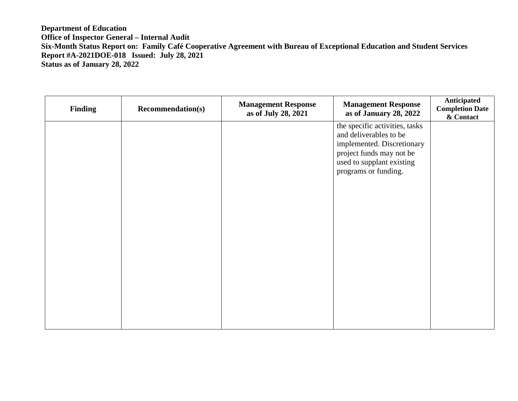| <b>Finding</b> | <b>Recommendation(s)</b> | <b>Management Response</b><br>as of July 28, 2021 | <b>Management Response</b><br>as of January 28, 2022                                                                                                                    | Anticipated<br><b>Completion Date</b><br>& Contact |
|----------------|--------------------------|---------------------------------------------------|-------------------------------------------------------------------------------------------------------------------------------------------------------------------------|----------------------------------------------------|
|                |                          |                                                   | the specific activities, tasks<br>and deliverables to be<br>implemented. Discretionary<br>project funds may not be<br>used to supplant existing<br>programs or funding. |                                                    |
|                |                          |                                                   |                                                                                                                                                                         |                                                    |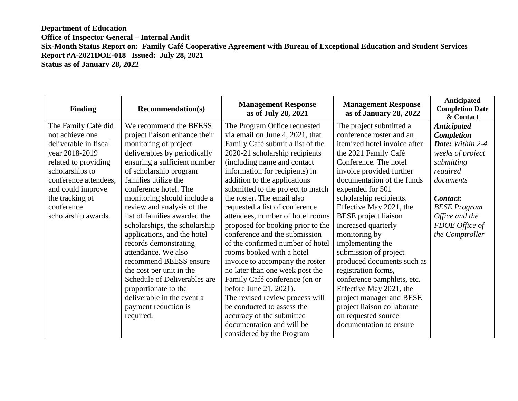| <b>Finding</b>        | <b>Recommendation(s)</b>      | <b>Management Response</b><br>as of July 28, 2021 | <b>Management Response</b><br>as of January 28, 2022 | Anticipated<br><b>Completion Date</b><br>& Contact |
|-----------------------|-------------------------------|---------------------------------------------------|------------------------------------------------------|----------------------------------------------------|
| The Family Café did   | We recommend the BEESS        | The Program Office requested                      | The project submitted a                              | <b>Anticipated</b>                                 |
| not achieve one       | project liaison enhance their | via email on June 4, 2021, that                   | conference roster and an                             | <b>Completion</b>                                  |
| deliverable in fiscal | monitoring of project         | Family Café submit a list of the                  | itemized hotel invoice after                         | Date: Within 2-4                                   |
| year 2018-2019        | deliverables by periodically  | 2020-21 scholarship recipients                    | the 2021 Family Café                                 | weeks of project                                   |
| related to providing  | ensuring a sufficient number  | (including name and contact                       | Conference. The hotel                                | submitting                                         |
| scholarships to       | of scholarship program        | information for recipients) in                    | invoice provided further                             | required                                           |
| conference attendees, | families utilize the          | addition to the applications                      | documentation of the funds                           | documents                                          |
| and could improve     | conference hotel. The         | submitted to the project to match                 | expended for 501                                     |                                                    |
| the tracking of       | monitoring should include a   | the roster. The email also                        | scholarship recipients.                              | Contact:                                           |
| conference            | review and analysis of the    | requested a list of conference                    | Effective May 2021, the                              | <b>BESE Program</b>                                |
| scholarship awards.   | list of families awarded the  | attendees, number of hotel rooms                  | <b>BESE</b> project liaison                          | Office and the                                     |
|                       | scholarships, the scholarship | proposed for booking prior to the                 | increased quarterly                                  | FDOE Office of                                     |
|                       | applications, and the hotel   | conference and the submission                     | monitoring by                                        | the Comptroller                                    |
|                       | records demonstrating         | of the confirmed number of hotel                  | implementing the                                     |                                                    |
|                       | attendance. We also           | rooms booked with a hotel                         | submission of project                                |                                                    |
|                       | recommend BEESS ensure        | invoice to accompany the roster                   | produced documents such as                           |                                                    |
|                       | the cost per unit in the      | no later than one week post the                   | registration forms,                                  |                                                    |
|                       | Schedule of Deliverables are  | Family Café conference (on or                     | conference pamphlets, etc.                           |                                                    |
|                       | proportionate to the          | before June 21, 2021).                            | Effective May 2021, the                              |                                                    |
|                       | deliverable in the event a    | The revised review process will                   | project manager and BESE                             |                                                    |
|                       | payment reduction is          | be conducted to assess the                        | project liaison collaborate                          |                                                    |
|                       | required.                     | accuracy of the submitted                         | on requested source                                  |                                                    |
|                       |                               | documentation and will be                         | documentation to ensure                              |                                                    |
|                       |                               | considered by the Program                         |                                                      |                                                    |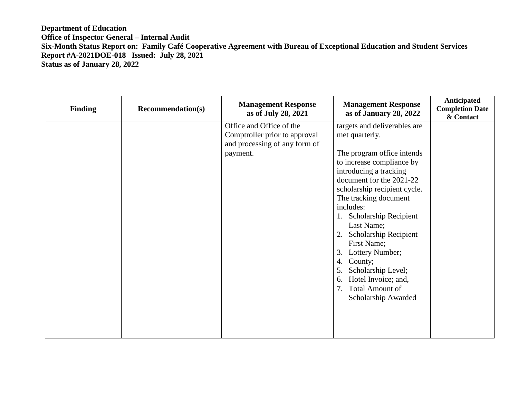| <b>Finding</b> | <b>Recommendation(s)</b> | <b>Management Response</b><br>as of July 28, 2021                                                      | <b>Management Response</b><br>as of January 28, 2022                                                                                                                                                                                                                                                                                                                                                                                                                                 | Anticipated<br><b>Completion Date</b><br>& Contact |
|----------------|--------------------------|--------------------------------------------------------------------------------------------------------|--------------------------------------------------------------------------------------------------------------------------------------------------------------------------------------------------------------------------------------------------------------------------------------------------------------------------------------------------------------------------------------------------------------------------------------------------------------------------------------|----------------------------------------------------|
|                |                          | Office and Office of the<br>Comptroller prior to approval<br>and processing of any form of<br>payment. | targets and deliverables are<br>met quarterly.<br>The program office intends<br>to increase compliance by<br>introducing a tracking<br>document for the 2021-22<br>scholarship recipient cycle.<br>The tracking document<br>includes:<br>1. Scholarship Recipient<br>Last Name;<br>2. Scholarship Recipient<br>First Name;<br>Lottery Number;<br>3.<br>County;<br>4.<br>Scholarship Level;<br>5.<br>Hotel Invoice; and,<br>6.<br><b>Total Amount of</b><br>7.<br>Scholarship Awarded |                                                    |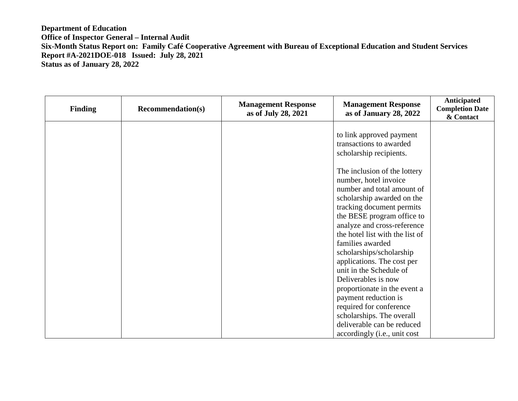| <b>Finding</b> | <b>Recommendation(s)</b> | <b>Management Response</b><br>as of July 28, 2021 | <b>Management Response</b><br>as of January 28, 2022                                                                                                                                                                                                                                                                             | Anticipated<br><b>Completion Date</b><br>& Contact |
|----------------|--------------------------|---------------------------------------------------|----------------------------------------------------------------------------------------------------------------------------------------------------------------------------------------------------------------------------------------------------------------------------------------------------------------------------------|----------------------------------------------------|
|                |                          |                                                   | to link approved payment<br>transactions to awarded<br>scholarship recipients.<br>The inclusion of the lottery<br>number, hotel invoice<br>number and total amount of<br>scholarship awarded on the<br>tracking document permits<br>the BESE program office to<br>analyze and cross-reference<br>the hotel list with the list of |                                                    |
|                |                          |                                                   | families awarded<br>scholarships/scholarship<br>applications. The cost per<br>unit in the Schedule of<br>Deliverables is now<br>proportionate in the event a<br>payment reduction is<br>required for conference<br>scholarships. The overall<br>deliverable can be reduced<br>accordingly (i.e., unit cost                       |                                                    |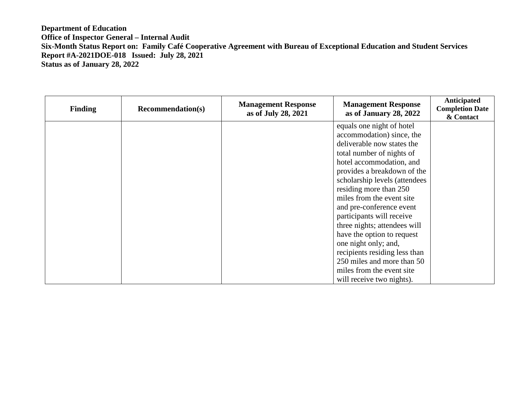| <b>Finding</b> | <b>Recommendation(s)</b> | <b>Management Response</b><br>as of July 28, 2021 | <b>Management Response</b><br>as of January 28, 2022 | <b>Anticipated</b><br><b>Completion Date</b><br>& Contact |
|----------------|--------------------------|---------------------------------------------------|------------------------------------------------------|-----------------------------------------------------------|
|                |                          |                                                   | equals one night of hotel                            |                                                           |
|                |                          |                                                   | accommodation) since, the                            |                                                           |
|                |                          |                                                   | deliverable now states the                           |                                                           |
|                |                          |                                                   | total number of nights of                            |                                                           |
|                |                          |                                                   | hotel accommodation, and                             |                                                           |
|                |                          |                                                   | provides a breakdown of the                          |                                                           |
|                |                          |                                                   | scholarship levels (attendees                        |                                                           |
|                |                          |                                                   | residing more than 250                               |                                                           |
|                |                          |                                                   | miles from the event site                            |                                                           |
|                |                          |                                                   | and pre-conference event                             |                                                           |
|                |                          |                                                   | participants will receive                            |                                                           |
|                |                          |                                                   | three nights; attendees will                         |                                                           |
|                |                          |                                                   | have the option to request                           |                                                           |
|                |                          |                                                   | one night only; and,                                 |                                                           |
|                |                          |                                                   | recipients residing less than                        |                                                           |
|                |                          |                                                   | 250 miles and more than 50                           |                                                           |
|                |                          |                                                   | miles from the event site                            |                                                           |
|                |                          |                                                   | will receive two nights).                            |                                                           |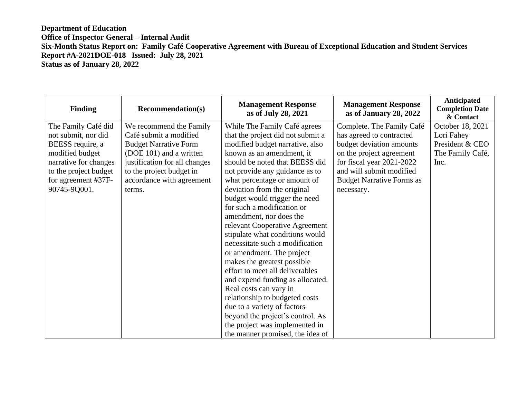| <b>Finding</b>        | <b>Recommendation(s)</b>      | <b>Management Response</b><br>as of July 28, 2021 | <b>Management Response</b><br>as of January 28, 2022 | Anticipated<br><b>Completion Date</b><br>& Contact |
|-----------------------|-------------------------------|---------------------------------------------------|------------------------------------------------------|----------------------------------------------------|
| The Family Café did   | We recommend the Family       | While The Family Café agrees                      | Complete. The Family Café                            | October 18, 2021                                   |
| not submit, nor did   | Café submit a modified        | that the project did not submit a                 | has agreed to contracted                             | Lori Fahey                                         |
| BEESS require, a      | <b>Budget Narrative Form</b>  | modified budget narrative, also                   | budget deviation amounts                             | President & CEO                                    |
| modified budget       | (DOE 101) and a written       | known as an amendment, it                         | on the project agreement                             | The Family Café,                                   |
| narrative for changes | justification for all changes | should be noted that BEESS did                    | for fiscal year 2021-2022                            | Inc.                                               |
| to the project budget | to the project budget in      | not provide any guidance as to                    | and will submit modified                             |                                                    |
| for agreement #37F-   | accordance with agreement     | what percentage or amount of                      | <b>Budget Narrative Forms as</b>                     |                                                    |
| 90745-9Q001.          | terms.                        | deviation from the original                       | necessary.                                           |                                                    |
|                       |                               | budget would trigger the need                     |                                                      |                                                    |
|                       |                               | for such a modification or                        |                                                      |                                                    |
|                       |                               | amendment, nor does the                           |                                                      |                                                    |
|                       |                               | relevant Cooperative Agreement                    |                                                      |                                                    |
|                       |                               | stipulate what conditions would                   |                                                      |                                                    |
|                       |                               | necessitate such a modification                   |                                                      |                                                    |
|                       |                               | or amendment. The project                         |                                                      |                                                    |
|                       |                               | makes the greatest possible                       |                                                      |                                                    |
|                       |                               | effort to meet all deliverables                   |                                                      |                                                    |
|                       |                               | and expend funding as allocated.                  |                                                      |                                                    |
|                       |                               | Real costs can vary in                            |                                                      |                                                    |
|                       |                               | relationship to budgeted costs                    |                                                      |                                                    |
|                       |                               | due to a variety of factors                       |                                                      |                                                    |
|                       |                               | beyond the project's control. As                  |                                                      |                                                    |
|                       |                               | the project was implemented in                    |                                                      |                                                    |
|                       |                               | the manner promised, the idea of                  |                                                      |                                                    |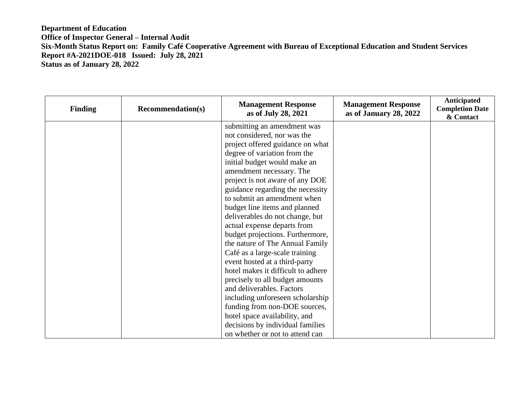| <b>Finding</b> | <b>Recommendation(s)</b> | <b>Management Response</b><br>as of July 28, 2021 | <b>Management Response</b><br>as of January 28, 2022 | <b>Anticipated</b><br><b>Completion Date</b><br>& Contact |
|----------------|--------------------------|---------------------------------------------------|------------------------------------------------------|-----------------------------------------------------------|
|                |                          | submitting an amendment was                       |                                                      |                                                           |
|                |                          | not considered, nor was the                       |                                                      |                                                           |
|                |                          | project offered guidance on what                  |                                                      |                                                           |
|                |                          | degree of variation from the                      |                                                      |                                                           |
|                |                          | initial budget would make an                      |                                                      |                                                           |
|                |                          | amendment necessary. The                          |                                                      |                                                           |
|                |                          | project is not aware of any DOE                   |                                                      |                                                           |
|                |                          | guidance regarding the necessity                  |                                                      |                                                           |
|                |                          | to submit an amendment when                       |                                                      |                                                           |
|                |                          | budget line items and planned                     |                                                      |                                                           |
|                |                          | deliverables do not change, but                   |                                                      |                                                           |
|                |                          | actual expense departs from                       |                                                      |                                                           |
|                |                          | budget projections. Furthermore,                  |                                                      |                                                           |
|                |                          | the nature of The Annual Family                   |                                                      |                                                           |
|                |                          | Café as a large-scale training                    |                                                      |                                                           |
|                |                          | event hosted at a third-party                     |                                                      |                                                           |
|                |                          | hotel makes it difficult to adhere                |                                                      |                                                           |
|                |                          | precisely to all budget amounts                   |                                                      |                                                           |
|                |                          | and deliverables. Factors                         |                                                      |                                                           |
|                |                          | including unforeseen scholarship                  |                                                      |                                                           |
|                |                          | funding from non-DOE sources,                     |                                                      |                                                           |
|                |                          | hotel space availability, and                     |                                                      |                                                           |
|                |                          | decisions by individual families                  |                                                      |                                                           |
|                |                          | on whether or not to attend can                   |                                                      |                                                           |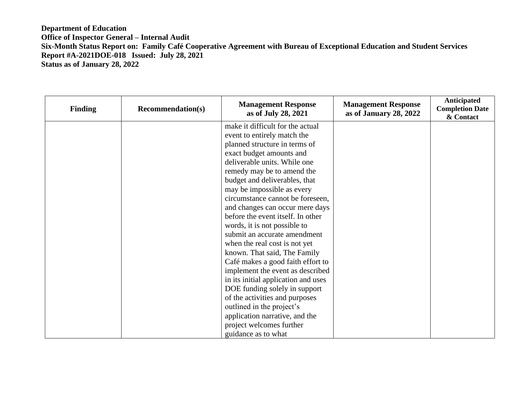| <b>Finding</b> | <b>Recommendation(s)</b> | <b>Management Response</b><br>as of July 28, 2021 | <b>Management Response</b><br>as of January 28, 2022 | <b>Anticipated</b><br><b>Completion Date</b><br>& Contact |
|----------------|--------------------------|---------------------------------------------------|------------------------------------------------------|-----------------------------------------------------------|
|                |                          | make it difficult for the actual                  |                                                      |                                                           |
|                |                          | event to entirely match the                       |                                                      |                                                           |
|                |                          | planned structure in terms of                     |                                                      |                                                           |
|                |                          | exact budget amounts and                          |                                                      |                                                           |
|                |                          | deliverable units. While one                      |                                                      |                                                           |
|                |                          | remedy may be to amend the                        |                                                      |                                                           |
|                |                          | budget and deliverables, that                     |                                                      |                                                           |
|                |                          | may be impossible as every                        |                                                      |                                                           |
|                |                          | circumstance cannot be foreseen,                  |                                                      |                                                           |
|                |                          | and changes can occur mere days                   |                                                      |                                                           |
|                |                          | before the event itself. In other                 |                                                      |                                                           |
|                |                          | words, it is not possible to                      |                                                      |                                                           |
|                |                          | submit an accurate amendment                      |                                                      |                                                           |
|                |                          | when the real cost is not yet                     |                                                      |                                                           |
|                |                          | known. That said, The Family                      |                                                      |                                                           |
|                |                          | Café makes a good faith effort to                 |                                                      |                                                           |
|                |                          | implement the event as described                  |                                                      |                                                           |
|                |                          | in its initial application and uses               |                                                      |                                                           |
|                |                          | DOE funding solely in support                     |                                                      |                                                           |
|                |                          | of the activities and purposes                    |                                                      |                                                           |
|                |                          | outlined in the project's                         |                                                      |                                                           |
|                |                          | application narrative, and the                    |                                                      |                                                           |
|                |                          | project welcomes further                          |                                                      |                                                           |
|                |                          | guidance as to what                               |                                                      |                                                           |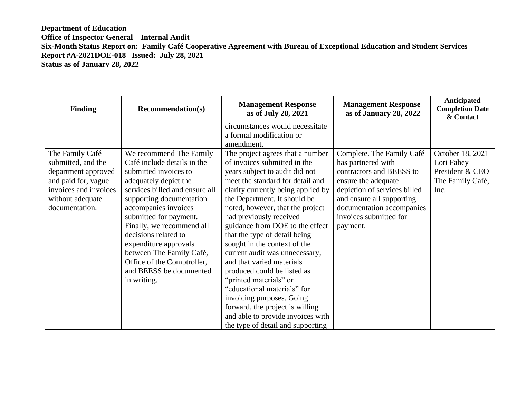| <b>Finding</b>                                                                                                                                     | <b>Recommendation(s)</b>                                                                                                                                                                                                                                                                                                                                                                                   | <b>Management Response</b><br>as of July 28, 2021                                                                                                                                                                                                                                                                                                                                                                                                                                                                                                                                                                                                                                | <b>Management Response</b><br>as of January 28, 2022                                                                                                                                                                               | Anticipated<br><b>Completion Date</b><br>& Contact                            |
|----------------------------------------------------------------------------------------------------------------------------------------------------|------------------------------------------------------------------------------------------------------------------------------------------------------------------------------------------------------------------------------------------------------------------------------------------------------------------------------------------------------------------------------------------------------------|----------------------------------------------------------------------------------------------------------------------------------------------------------------------------------------------------------------------------------------------------------------------------------------------------------------------------------------------------------------------------------------------------------------------------------------------------------------------------------------------------------------------------------------------------------------------------------------------------------------------------------------------------------------------------------|------------------------------------------------------------------------------------------------------------------------------------------------------------------------------------------------------------------------------------|-------------------------------------------------------------------------------|
|                                                                                                                                                    |                                                                                                                                                                                                                                                                                                                                                                                                            | circumstances would necessitate<br>a formal modification or                                                                                                                                                                                                                                                                                                                                                                                                                                                                                                                                                                                                                      |                                                                                                                                                                                                                                    |                                                                               |
|                                                                                                                                                    |                                                                                                                                                                                                                                                                                                                                                                                                            | amendment.                                                                                                                                                                                                                                                                                                                                                                                                                                                                                                                                                                                                                                                                       |                                                                                                                                                                                                                                    |                                                                               |
| The Family Café<br>submitted, and the<br>department approved<br>and paid for, vague<br>invoices and invoices<br>without adequate<br>documentation. | We recommend The Family<br>Café include details in the<br>submitted invoices to<br>adequately depict the<br>services billed and ensure all<br>supporting documentation<br>accompanies invoices<br>submitted for payment.<br>Finally, we recommend all<br>decisions related to<br>expenditure approvals<br>between The Family Café,<br>Office of the Comptroller,<br>and BEESS be documented<br>in writing. | The project agrees that a number<br>of invoices submitted in the<br>years subject to audit did not<br>meet the standard for detail and<br>clarity currently being applied by<br>the Department. It should be<br>noted, however, that the project<br>had previously received<br>guidance from DOE to the effect<br>that the type of detail being<br>sought in the context of the<br>current audit was unnecessary,<br>and that varied materials<br>produced could be listed as<br>"printed materials" or<br>"educational materials" for<br>invoicing purposes. Going<br>forward, the project is willing<br>and able to provide invoices with<br>the type of detail and supporting | Complete. The Family Café<br>has partnered with<br>contractors and BEESS to<br>ensure the adequate<br>depiction of services billed<br>and ensure all supporting<br>documentation accompanies<br>invoices submitted for<br>payment. | October 18, 2021<br>Lori Fahey<br>President & CEO<br>The Family Café,<br>Inc. |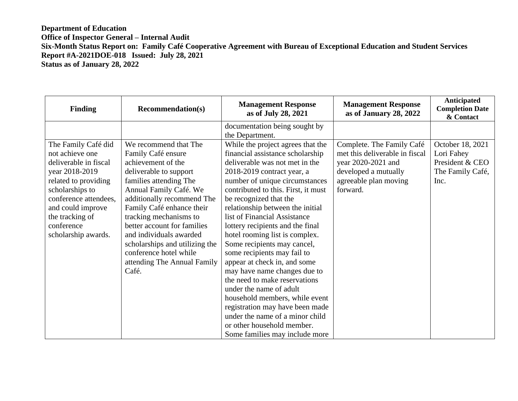| <b>Finding</b>                                                                                                                                                                                                                     | <b>Recommendation(s)</b>                                                                                                                                                                                                                                                                                                                                                                           | <b>Management Response</b><br>as of July 28, 2021                                                                                                                                                                                                                                                                                                                                                                                                                                                                                                                                                                                                                                                                                                    | <b>Management Response</b><br>as of January 28, 2022                                                                                           | Anticipated<br><b>Completion Date</b><br>& Contact                            |
|------------------------------------------------------------------------------------------------------------------------------------------------------------------------------------------------------------------------------------|----------------------------------------------------------------------------------------------------------------------------------------------------------------------------------------------------------------------------------------------------------------------------------------------------------------------------------------------------------------------------------------------------|------------------------------------------------------------------------------------------------------------------------------------------------------------------------------------------------------------------------------------------------------------------------------------------------------------------------------------------------------------------------------------------------------------------------------------------------------------------------------------------------------------------------------------------------------------------------------------------------------------------------------------------------------------------------------------------------------------------------------------------------------|------------------------------------------------------------------------------------------------------------------------------------------------|-------------------------------------------------------------------------------|
|                                                                                                                                                                                                                                    |                                                                                                                                                                                                                                                                                                                                                                                                    | documentation being sought by<br>the Department.                                                                                                                                                                                                                                                                                                                                                                                                                                                                                                                                                                                                                                                                                                     |                                                                                                                                                |                                                                               |
| The Family Café did<br>not achieve one<br>deliverable in fiscal<br>year 2018-2019<br>related to providing<br>scholarships to<br>conference attendees,<br>and could improve<br>the tracking of<br>conference<br>scholarship awards. | We recommend that The<br>Family Café ensure<br>achievement of the<br>deliverable to support<br>families attending The<br>Annual Family Café. We<br>additionally recommend The<br>Family Café enhance their<br>tracking mechanisms to<br>better account for families<br>and individuals awarded<br>scholarships and utilizing the<br>conference hotel while<br>attending The Annual Family<br>Café. | While the project agrees that the<br>financial assistance scholarship<br>deliverable was not met in the<br>2018-2019 contract year, a<br>number of unique circumstances<br>contributed to this. First, it must<br>be recognized that the<br>relationship between the initial<br>list of Financial Assistance<br>lottery recipients and the final<br>hotel rooming list is complex.<br>Some recipients may cancel,<br>some recipients may fail to<br>appear at check in, and some<br>may have name changes due to<br>the need to make reservations<br>under the name of adult<br>household members, while event<br>registration may have been made<br>under the name of a minor child<br>or other household member.<br>Some families may include more | Complete. The Family Café<br>met this deliverable in fiscal<br>year 2020-2021 and<br>developed a mutually<br>agreeable plan moving<br>forward. | October 18, 2021<br>Lori Fahey<br>President & CEO<br>The Family Café,<br>Inc. |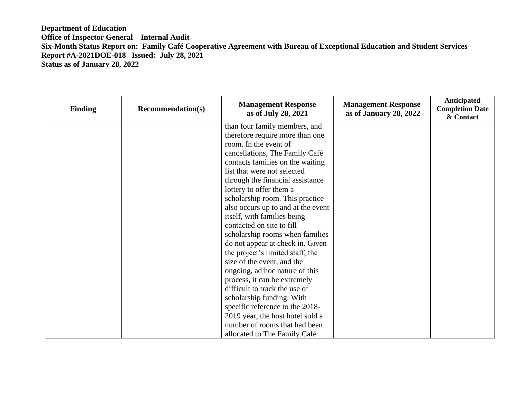| <b>Finding</b> | <b>Recommendation(s)</b> | <b>Management Response</b><br>as of July 28, 2021 | <b>Management Response</b><br>as of January 28, 2022 | <b>Anticipated</b><br><b>Completion Date</b><br>& Contact |
|----------------|--------------------------|---------------------------------------------------|------------------------------------------------------|-----------------------------------------------------------|
|                |                          | than four family members, and                     |                                                      |                                                           |
|                |                          | therefore require more than one                   |                                                      |                                                           |
|                |                          | room. In the event of                             |                                                      |                                                           |
|                |                          | cancellations, The Family Café                    |                                                      |                                                           |
|                |                          | contacts families on the waiting                  |                                                      |                                                           |
|                |                          | list that were not selected                       |                                                      |                                                           |
|                |                          | through the financial assistance                  |                                                      |                                                           |
|                |                          | lottery to offer them a                           |                                                      |                                                           |
|                |                          | scholarship room. This practice                   |                                                      |                                                           |
|                |                          | also occurs up to and at the event                |                                                      |                                                           |
|                |                          | itself, with families being                       |                                                      |                                                           |
|                |                          | contacted on site to fill                         |                                                      |                                                           |
|                |                          | scholarship rooms when families                   |                                                      |                                                           |
|                |                          | do not appear at check in. Given                  |                                                      |                                                           |
|                |                          | the project's limited staff, the                  |                                                      |                                                           |
|                |                          | size of the event, and the                        |                                                      |                                                           |
|                |                          | ongoing, ad hoc nature of this                    |                                                      |                                                           |
|                |                          | process, it can be extremely                      |                                                      |                                                           |
|                |                          | difficult to track the use of                     |                                                      |                                                           |
|                |                          | scholarship funding. With                         |                                                      |                                                           |
|                |                          | specific reference to the 2018-                   |                                                      |                                                           |
|                |                          | 2019 year, the host hotel sold a                  |                                                      |                                                           |
|                |                          | number of rooms that had been                     |                                                      |                                                           |
|                |                          | allocated to The Family Café                      |                                                      |                                                           |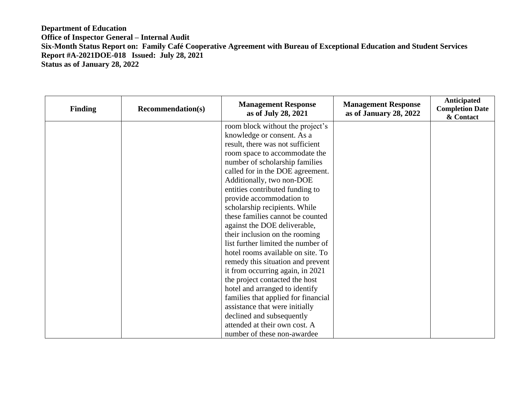| <b>Finding</b> | <b>Recommendation(s)</b> | <b>Management Response</b><br>as of July 28, 2021 | <b>Management Response</b><br>as of January 28, 2022 | <b>Anticipated</b><br><b>Completion Date</b><br>& Contact |
|----------------|--------------------------|---------------------------------------------------|------------------------------------------------------|-----------------------------------------------------------|
|                |                          | room block without the project's                  |                                                      |                                                           |
|                |                          | knowledge or consent. As a                        |                                                      |                                                           |
|                |                          | result, there was not sufficient                  |                                                      |                                                           |
|                |                          | room space to accommodate the                     |                                                      |                                                           |
|                |                          | number of scholarship families                    |                                                      |                                                           |
|                |                          | called for in the DOE agreement.                  |                                                      |                                                           |
|                |                          | Additionally, two non-DOE                         |                                                      |                                                           |
|                |                          | entities contributed funding to                   |                                                      |                                                           |
|                |                          | provide accommodation to                          |                                                      |                                                           |
|                |                          | scholarship recipients. While                     |                                                      |                                                           |
|                |                          | these families cannot be counted                  |                                                      |                                                           |
|                |                          | against the DOE deliverable,                      |                                                      |                                                           |
|                |                          | their inclusion on the rooming                    |                                                      |                                                           |
|                |                          | list further limited the number of                |                                                      |                                                           |
|                |                          | hotel rooms available on site. To                 |                                                      |                                                           |
|                |                          | remedy this situation and prevent                 |                                                      |                                                           |
|                |                          | it from occurring again, in 2021                  |                                                      |                                                           |
|                |                          | the project contacted the host                    |                                                      |                                                           |
|                |                          | hotel and arranged to identify                    |                                                      |                                                           |
|                |                          | families that applied for financial               |                                                      |                                                           |
|                |                          | assistance that were initially                    |                                                      |                                                           |
|                |                          | declined and subsequently                         |                                                      |                                                           |
|                |                          | attended at their own cost. A                     |                                                      |                                                           |
|                |                          | number of these non-awardee                       |                                                      |                                                           |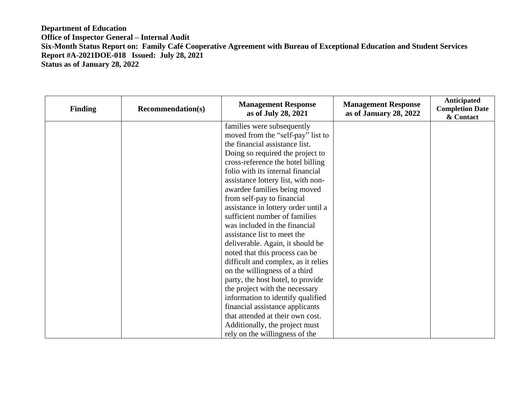| <b>Finding</b> | <b>Recommendation(s)</b> | <b>Management Response</b><br>as of July 28, 2021 | <b>Management Response</b><br>as of January 28, 2022 | <b>Anticipated</b><br><b>Completion Date</b><br>& Contact |
|----------------|--------------------------|---------------------------------------------------|------------------------------------------------------|-----------------------------------------------------------|
|                |                          | families were subsequently                        |                                                      |                                                           |
|                |                          | moved from the "self-pay" list to                 |                                                      |                                                           |
|                |                          | the financial assistance list.                    |                                                      |                                                           |
|                |                          | Doing so required the project to                  |                                                      |                                                           |
|                |                          | cross-reference the hotel billing                 |                                                      |                                                           |
|                |                          | folio with its internal financial                 |                                                      |                                                           |
|                |                          | assistance lottery list, with non-                |                                                      |                                                           |
|                |                          | awardee families being moved                      |                                                      |                                                           |
|                |                          | from self-pay to financial                        |                                                      |                                                           |
|                |                          | assistance in lottery order until a               |                                                      |                                                           |
|                |                          | sufficient number of families                     |                                                      |                                                           |
|                |                          | was included in the financial                     |                                                      |                                                           |
|                |                          | assistance list to meet the                       |                                                      |                                                           |
|                |                          | deliverable. Again, it should be                  |                                                      |                                                           |
|                |                          | noted that this process can be                    |                                                      |                                                           |
|                |                          | difficult and complex, as it relies               |                                                      |                                                           |
|                |                          | on the willingness of a third                     |                                                      |                                                           |
|                |                          | party, the host hotel, to provide                 |                                                      |                                                           |
|                |                          | the project with the necessary                    |                                                      |                                                           |
|                |                          | information to identify qualified                 |                                                      |                                                           |
|                |                          | financial assistance applicants                   |                                                      |                                                           |
|                |                          | that attended at their own cost.                  |                                                      |                                                           |
|                |                          | Additionally, the project must                    |                                                      |                                                           |
|                |                          | rely on the willingness of the                    |                                                      |                                                           |